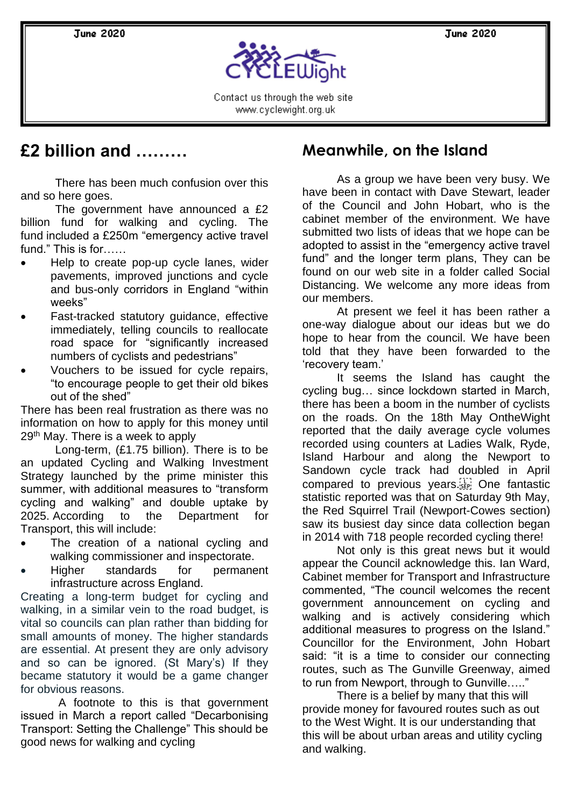**June 2020** 

**June 2020** 



Contact us through the web site www.cyclewight.org.uk

# **£2 billion and ………**

There has been much confusion over this and so here goes.

The government have announced a £2 billion fund for walking and cycling. The fund included a £250m "emergency active travel fund." This is for……

- Help to create pop-up cycle lanes, wider pavements, improved junctions and cycle and bus-only corridors in England "within weeks"
- Fast-tracked statutory guidance, effective immediately, telling councils to reallocate road space for "significantly increased numbers of cyclists and pedestrians"
- Vouchers to be issued for cycle repairs, "to encourage people to get their old bikes out of the shed"

There has been real frustration as there was no information on how to apply for this money until 29<sup>th</sup> May. There is a week to apply

Long-term, (£1.75 billion). There is to be an updated Cycling and Walking Investment Strategy launched by the prime minister this summer, with additional measures to "transform cycling and walking" and double uptake by 2025. According to the Department for Transport, this will include:

- The creation of a national cycling and walking commissioner and inspectorate.
- Higher standards for permanent infrastructure across England.

Creating a long-term budget for cycling and walking, in a similar vein to the road budget, is vital so councils can plan rather than bidding for small amounts of money. The higher standards are essential. At present they are only advisory and so can be ignored. (St Mary's) If they became statutory it would be a game changer for obvious reasons.

A footnote to this is that government issued in March a report called "Decarbonising Transport: Setting the Challenge" This should be good news for walking and cycling

# **Meanwhile, on the Island**

As a group we have been very busy. We have been in contact with Dave Stewart, leader of the Council and John Hobart, who is the cabinet member of the environment. We have submitted two lists of ideas that we hope can be adopted to assist in the "emergency active travel fund" and the longer term plans, They can be found on our web site in a folder called Social Distancing. We welcome any more ideas from our members.

At present we feel it has been rather a one-way dialogue about our ideas but we do hope to hear from the council. We have been told that they have been forwarded to the 'recovery team.'

It seems the Island has caught the cycling bug… since lockdown started in March, there has been a boom in the number of cyclists on the roads. On the 18th May OntheWight reported that the daily average cycle volumes recorded using counters at Ladies Walk, Ryde, Island Harbour and along the Newport to Sandown cycle track had doubled in April compared to previous years.<sup>[17]</sup> One fantastic statistic reported was that on Saturday 9th May, the Red Squirrel Trail (Newport-Cowes section) saw its busiest day since data collection began in 2014 with 718 people recorded cycling there!

Not only is this great news but it would appear the Council acknowledge this. Ian Ward, Cabinet member for Transport and Infrastructure commented, "The council welcomes the recent government announcement on cycling and walking and is actively considering which additional measures to progress on the Island." Councillor for the Environment, John Hobart said: "it is a time to consider our connecting routes, such as The Gunville Greenway, aimed to run from Newport, through to Gunville….."

There is a belief by many that this will provide money for favoured routes such as out to the West Wight. It is our understanding that this will be about urban areas and utility cycling and walking.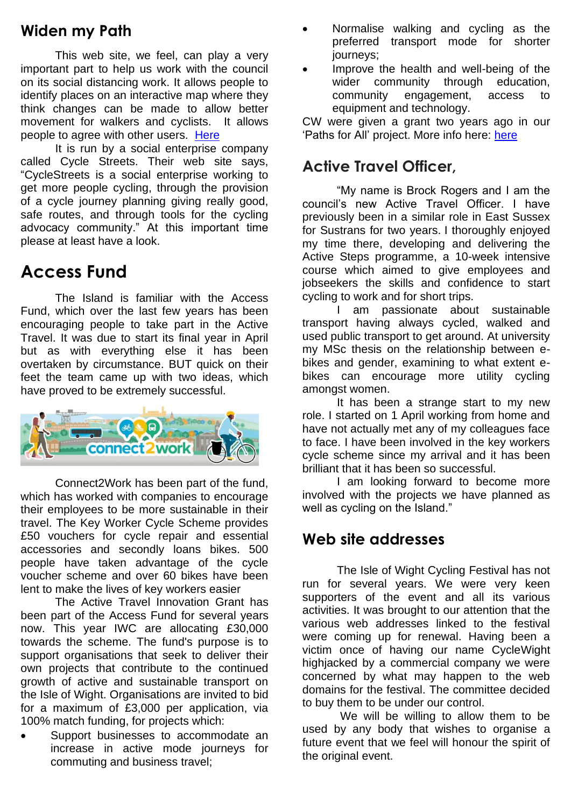## **Widen my Path**

This web site, we feel, can play a very important part to help us work with the council on its social distancing work. It allows people to identify places on an interactive map where they think changes can be made to allow better movement for walkers and cyclists. It allows people to agree with other users. [Here](https://www.widenmypath.com/)

It is run by a social enterprise company called Cycle Streets. Their web site says, "CycleStreets is a social enterprise working to get more people cycling, through the provision of a cycle journey planning giving really good, safe routes, and through tools for the cycling advocacy community." At this important time please at least have a look.

# **Access Fund**

The Island is familiar with the Access Fund, which over the last few years has been encouraging people to take part in the Active Travel. It was due to start its final year in April but as with everything else it has been overtaken by circumstance. BUT quick on their feet the team came up with two ideas, which have proved to be extremely successful.



Connect2Work has been part of the fund, which has worked with companies to encourage their employees to be more sustainable in their travel. The Key Worker Cycle Scheme provides £50 vouchers for cycle repair and essential accessories and secondly loans bikes. 500 people have taken advantage of the cycle voucher scheme and over 60 bikes have been lent to make the lives of key workers easier

The Active Travel Innovation Grant has been part of the Access Fund for several years now. This year IWC are allocating £30,000 towards the scheme. The fund's purpose is to support organisations that seek to deliver their own projects that contribute to the continued growth of active and sustainable transport on the Isle of Wight. Organisations are invited to bid for a maximum of £3,000 per application, via 100% match funding, for projects which:

Support businesses to accommodate an increase in active mode journeys for commuting and business travel;

- Normalise walking and cycling as the preferred transport mode for shorter journeys;
- Improve the health and well-being of the wider community through education, community engagement, access to equipment and technology.

CW were given a grant two years ago in our 'Paths for All' project. More info here: [here](http://www.connect2work.info/active-travel-innovation-grant-fund)

## **Active Travel Officer,**

"My name is Brock Rogers and I am the council's new Active Travel Officer. I have previously been in a similar role in East Sussex for Sustrans for two years. I thoroughly enjoyed my time there, developing and delivering the Active Steps programme, a 10-week intensive course which aimed to give employees and jobseekers the skills and confidence to start cycling to work and for short trips.

I am passionate about sustainable transport having always cycled, walked and used public transport to get around. At university my MSc thesis on the relationship between ebikes and gender, examining to what extent ebikes can encourage more utility cycling amongst women.

It has been a strange start to my new role. I started on 1 April working from home and have not actually met any of my colleagues face to face. I have been involved in the key workers cycle scheme since my arrival and it has been brilliant that it has been so successful.

I am looking forward to become more involved with the projects we have planned as well as cycling on the Island."

### **Web site addresses**

The Isle of Wight Cycling Festival has not run for several years. We were very keen supporters of the event and all its various activities. It was brought to our attention that the various web addresses linked to the festival were coming up for renewal. Having been a victim once of having our name CycleWight highjacked by a commercial company we were concerned by what may happen to the web domains for the festival. The committee decided to buy them to be under our control.

We will be willing to allow them to be used by any body that wishes to organise a future event that we feel will honour the spirit of the original event.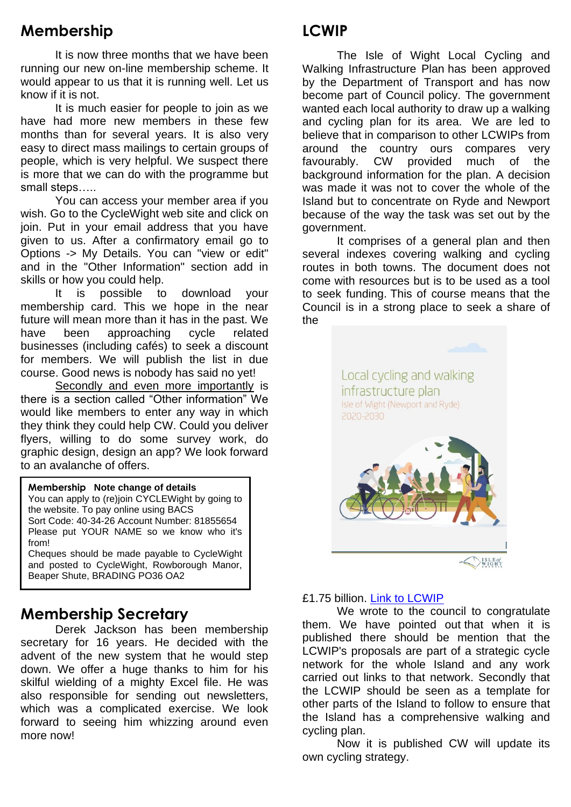# **Membership**

It is now three months that we have been running our new on-line membership scheme. It would appear to us that it is running well. Let us know if it is not.

It is much easier for people to join as we have had more new members in these few months than for several years. It is also very easy to direct mass mailings to certain groups of people, which is very helpful. We suspect there is more that we can do with the programme but small steps…..

You can access your member area if you wish. Go to the CycleWight web site and click on join. Put in your email address that you have given to us. After a confirmatory email go to Options -> My Details. You can "view or edit" and in the "Other Information" section add in skills or how you could help.

It is possible to download your membership card. This we hope in the near future will mean more than it has in the past. We have been approaching cycle related businesses (including cafés) to seek a discount for members. We will publish the list in due course. Good news is nobody has said no yet!

Secondly and even more importantly is there is a section called "Other information" We would like members to enter any way in which they think they could help CW. Could you deliver flyers, willing to do some survey work, do graphic design, design an app? We look forward to an avalanche of offers.

#### **Membership Note change of details**

You can apply to (re)join CYCLEWight by going to the website. To pay online using BACS Sort Code: 40-34-26 Account Number: 81855654 Please put YOUR NAME so we know who it's from!

Cheques should be made payable to CycleWight and posted to CycleWight, Rowborough Manor, Beaper Shute, BRADING PO36 OA2

### **Membership Secretary**

Derek Jackson has been membership secretary for 16 years. He decided with the advent of the new system that he would step down. We offer a huge thanks to him for his skilful wielding of a mighty Excel file. He was also responsible for sending out newsletters, which was a complicated exercise. We look forward to seeing him whizzing around even more now!

# **LCWIP**

The Isle of Wight Local Cycling and Walking Infrastructure Plan has been approved by the Department of Transport and has now become part of Council policy. The government wanted each local authority to draw up a walking and cycling plan for its area. We are led to believe that in comparison to other LCWIPs from around the country ours compares very favourably. CW provided much of the background information for the plan. A decision was made it was not to cover the whole of the Island but to concentrate on Ryde and Newport because of the way the task was set out by the government.

It comprises of a general plan and then several indexes covering walking and cycling routes in both towns. The document does not come with resources but is to be used as a tool to seek funding. This of course means that the Council is in a strong place to seek a share of the



#### £1.75 billion. [Link to LCWIP](http://www.cyclewight.org.uk/lcwip.html)

We wrote to the council to congratulate them. We have pointed out that when it is published there should be mention that the LCWIP's proposals are part of a strategic cycle network for the whole Island and any work carried out links to that network. Secondly that the LCWIP should be seen as a template for other parts of the Island to follow to ensure that the Island has a comprehensive walking and cycling plan.

Now it is published CW will update its own cycling strategy.